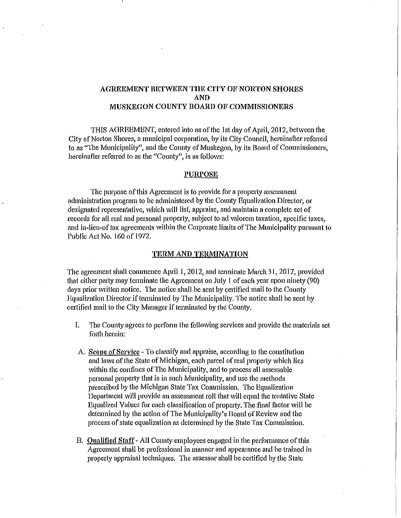# AGREEMENT BETWEEN THE CITY OF NORTON SHORES AND MUSKEGON COUNTY BOARD OF COMMISSIONERS

THIS AGREEMENT, entered into as of the 1st day of Aprll, 2012, between the City of Norton Shores, a municipal corporation, by its City Council, hereinafter referred to as "The Municipality", and the County of Muskegon, by its Board of Commissioners, hereinafter referred to as the "County", is as follows:

### l'URPOSE

The purpose of this Agreement is to provide for a property assessment administration program to be administered by the County Equalization Director, or designated representative, which will list, appraise, and maintain a complete set of records for all real and personal property, subject to ad valorem taxation, specific taxes, and in-lieu-oftax agreements within the Corporate limits of The Municipality pursuant to Public Act No. 160 of 1972.

#### TERM AND TERMINATION

The agreement shall commence April 1, 2012, and terminate March 31, 2017, provided that either party may terminate the Agreement on July 1 of each year upon ninety (90) days prior written notice. The notice shall be sent by certified mail to the County Equalization Director if terminated by The Municipality. The notice shall be sent by certified mail to the City Manager if terminated by the County.

- I. The County agrees to perform the following services and provide the materials set forth herein:
- A. Scope of Service To classify and appraise, according to the constitution and laws of the State of Michigan, each parcel of real properly which lies within the confines of The Municipality, and to process all assessable personal property that is in such Municipality, and use the methods prescribed by the Michigan State Tax Commission. The Equalization Department will provide an assessment roll that will equal the tentative State Equalized Values for each classification of property. The final factor will be determined by the action of The Municipality's Board of Review and the process of state equalization as determined by the State Tax Commission.
- B. Qualified Staff· All County employees engaged in the performance of this Agreement shall be professional in manner and appearance and be trained in property appraisal techniques. The assessor shall be certified by the State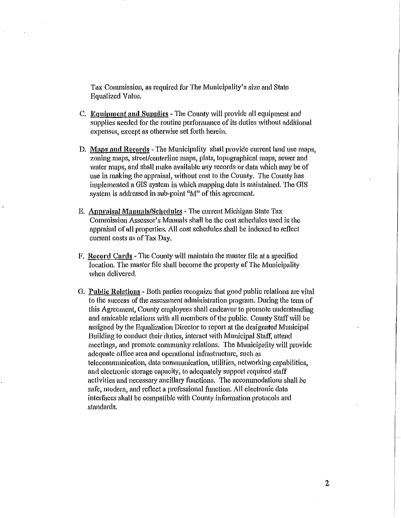Tax Commission, as required for The Municipality's size and State Equalized Value.

- C. Equipment and Supplies The County will provide all equipment and supplies needed for the routine performance of its duties without additional expenses, except as otherwise set forth herein.
- D. Maps and Records The Municipality shall provide current land use maps, zoning maps, street/centerline maps, plats, topographical maps, sewer and water maps, and shall make available any records or data which may be of use in making the appraisal, without cost to the County. The County has implemented a GIS system in which mapping data is maintained. The GIS system is addressed in sub-point "M" of this agreement.
- E. Anpraisal Mannals/Scltedules- The current Michigan State Tax Commission Assessor's Manuals shall be the cost schedules used in the appraisal of all properties. All cost schedules shall be indexed to reflect current costs as of Tax Day.
- F. Record Cards ·The County will maintain the master file at a specified location. The master file shall become the property of The Municipality when delivered.
- G. Public Relations- Both parties recognize that good public relations are vital to the success of the assessment administration program. During the term of this Agreement, County employees shall endeavor to promote understanding and amicable relations with all members of the public. County Staff will be assigned by the Equalization Director to report at the designated Municipal Building to conduct their duties, interact with Municipal Staff, attend meetings, and promote community relations. The Municipality will provide adequate office area and operational infrastmcture, such as teleconununication, data communication, utilities, networking capabilities, and electronic storage capacity, to adequately support required staff activities and necessary ancillary functions. The accommodations shall be safe, modem, and reflect a professional function. All electronic data interfaces shall be compatible with County information protocols and standards.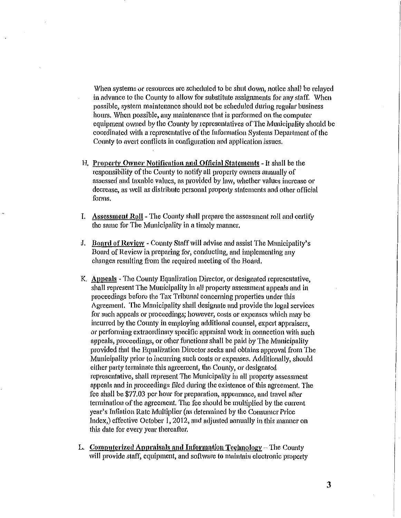When systems or resources are scheduled to be shut down, notice shall be relayed in advance to the County to allow for substitute assigmnents for any staff. When possible, system maintenance should not be scheduled dming regular business hours. When possible, any maintenance that is performed on the computer equipment owned by the County by representatives of The Municipality should be coordinated with a representative of the Information Systems Department of the County to avert conflicts in configuration and application issues.

- H. Property Owner Notification and Official Statements It shall be the responsibility of the County to notify all property owners mmually of assessed and taxable values, as provided by law, whether values increase or decrease, as well as distribute personal property statements and other official forms.
- I. Assessment Roll The County shall prepare the assessment roll and certify the same for The Municipality in a timely manner.
- J. Board of Review County Staff will advise and assist The Municipality's Board of Review in preparing for, conducting, and implementing any changes resulting from the required meeting of the Board.
- K. Apneals -The County Equalization Director, or designated representative, shall represent The Municipality in all property assessment appeals and in proceedings before the Tax Tribunal concerning properties under this Agreement. The Municipality shall designate and provide the legal services for such appeals or proceedings; however, costs or expenses which may be incurred by the County in employing additional counsel, expert appraisers, or performing extraordinary specific appraisal work in connection with such appeals, proceedings, or other functions shall be paid by The Municipality provided that the Equalization Director seeks and obtains approval from The Municipality prior to incurring such costs or expenses. Additionally, should either party terminate this agreement, the County, or designated representative, shall represent The Municipality in all property assessment appeals and in proceedings filed during the existence of this agreement. The fee shall be \$77.03 per hour for preparation, appearance, and travel after termination of the agreement. The fee should be multiplied by the current year's Inflation Rate Multiplier (as determined by the Consumer Price Index,) effective October 1, 2012, and adjusted annually in this manner on this date for every year thereafter.
- L. Computerized Appraisals and Information Technology  $-$  The County will provide staff, equipment, and software to maintain electronic property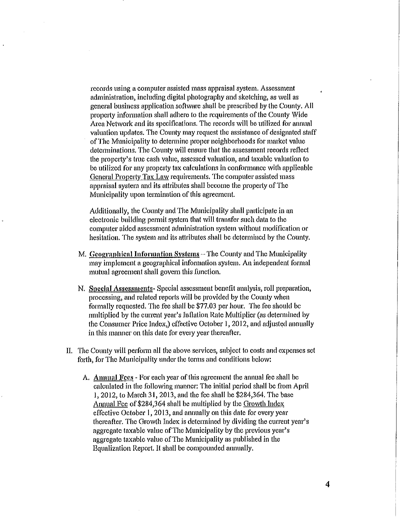records using a computer assisted mass appraisal system. Assessment administration, including digital photography and sketching, as well as general business application softwme shall be prescribed by the County. All property information shall adhere to the requirements of the County Wide Area Network and its specifications. The records will be utilized for aimual valuation updates. The County may request the assistance of designated staff of The Municipality to determine proper neighborhoods for market value determinations. The County will ensure that the assessment records reflect the property's tme cash value, assessed valuation, and taxable valuation to be utilized for any property tax calculations in conformance with applicable General Property Tax Law requirements. The computer assisted mass appraisal system and its attributes shall become the property of The Municipality upon termination of this agreement.

Additionally, the County and The Municipality shall participate in an electronic building permit system that will transfer such data to the computer aided assessment administration system without modification or hesitation. The system and its attributes shall be determined by the County.

- $M$ . Geographical Information Systems  $-$  The County and The Municipality may implement a geographical information system. An independent formal mutual agreement shall govern this function.
- N. Special Assessments· Special assessment benefit analysis, roll preparation, processing, and related reports will be provided by the County when formally requested. The fee shall be \$77.03 per hour. The fee should be multiplied by the current year's Inflation Rate Multiplier (as determined by the Consumer Price Index,) effective October I, 20I2, and adjusted annually in this manner on this date for every year thereafter.
- II. The County will perform all the above services, subject to costs and expenses set forth, for The Municipality under the terms and conditions below:
	- A. Annual Fees· For each year of this agreement the annual fee shall be calculated in the following manner: The initial period shall be from April I, 2012, to March 3I, 2013, and the fee shall be \$284,364. The base Annual Fee of \$284,364 shall be multiplied by the Growth Index effective October 1, 2013, and annually on this date for every year thereafter. The Growth Index is determined by dividing the current year's aggregate taxable value of The Municipality by the previous year's aggregate taxable value of The Municipality as published in the Equalization Report. It shall be compounded annually.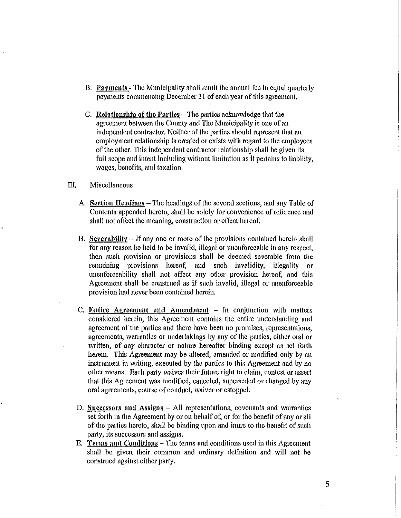- *B.* Payments- The Municipality shall remit the annual fee in equal quarterly payments commencing December 31 of each year of this agreement.
- C. Relationship of the Parties  $-$  The parties acknowledge that the agreement between the County and The Municipality is one of an independent contractor. Neither of the parties should represent that an employment relationship is created or exists with regard to the employees of the other. Tllis independent contractor relationship shall be given its full scope and intent including without limitation as it pertains to liability, wages, benefits, and taxation.

## HI. Miscellaneous

- A. Section Headings- The headings of the several sections, and any Table of Contents appended hereto, shall be solely for convenience of reference and shall not affect the meaning, construction or effect hereof.
- B. Severability  $-$  If any one or more of the provisions contained herein shall for any reason be held to be invalid, illegal or unenforceable in any respect, then such provision or provisions shall be deemed severable from the remaining provisions hereof, and such invalidity, illegality or unenforceability shall not affect any other provision hereof, and this Agreement shall be construed as if such invalid, illegal or unenforceable provision had never been contained herein.
- $C.$  Entire Agreement and Amendment  $-$  In conjunction with matters considered herein, this Agreement contains the entire understanding and agreement of the parties and there have been no promises, representations, agreements, warranties or undertakings by any of the parties, either oral or written, of any character or nature hereafter binding except as set forth herein. Tllis Agreement may be altered, amended or modified only by an instrument in writing, executed by the parties to this Agreement and by no other means. Each party waives their future right to claim, contest or assert that this Agreement was modified, canceled, superseded or changed by any oral agreements, course of conduct, waiver or estoppel.
- D. Successors and Assigns  $-$  All representations, covenants and warrantics set forth in the Agreement by or on behalf of, or for the benefit of any or all of the parties hereto, shall be binding upon and inure to the benefit of such party, its successors and assigns.
- E. Terms and Conditions- The terms and conditions used in this Agreement shall be given their common and ordinary definition and will not be construed against either party.

5